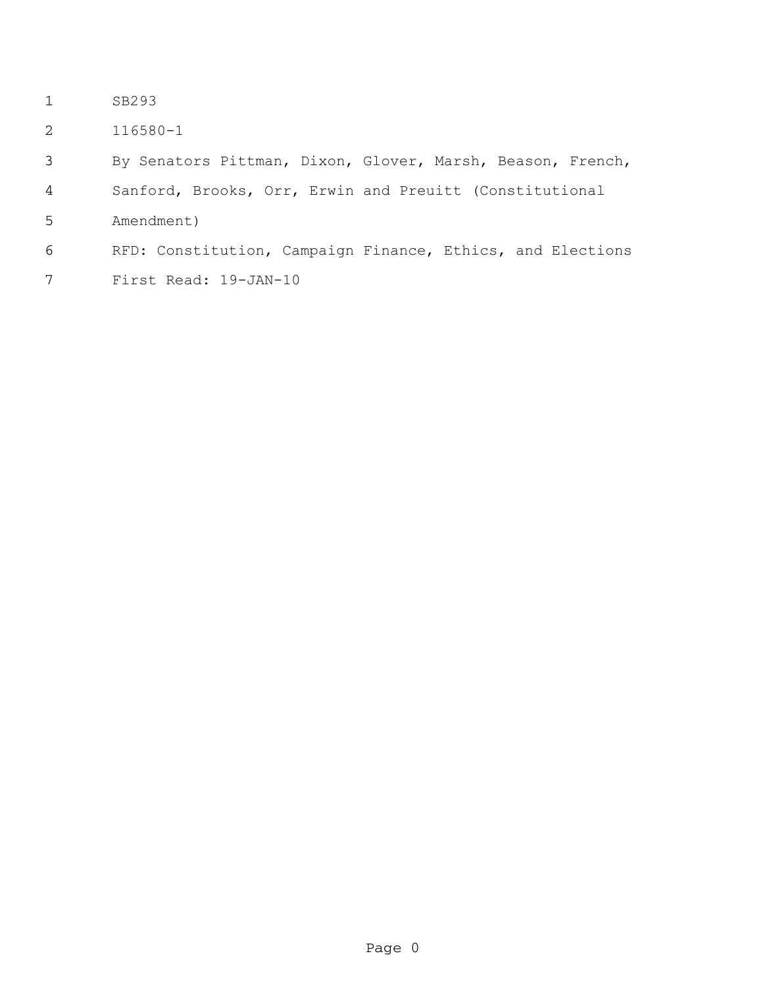- SB293
- 116580-1

By Senators Pittman, Dixon, Glover, Marsh, Beason, French,

Sanford, Brooks, Orr, Erwin and Preuitt (Constitutional

Amendment)

## RFD: Constitution, Campaign Finance, Ethics, and Elections

First Read: 19-JAN-10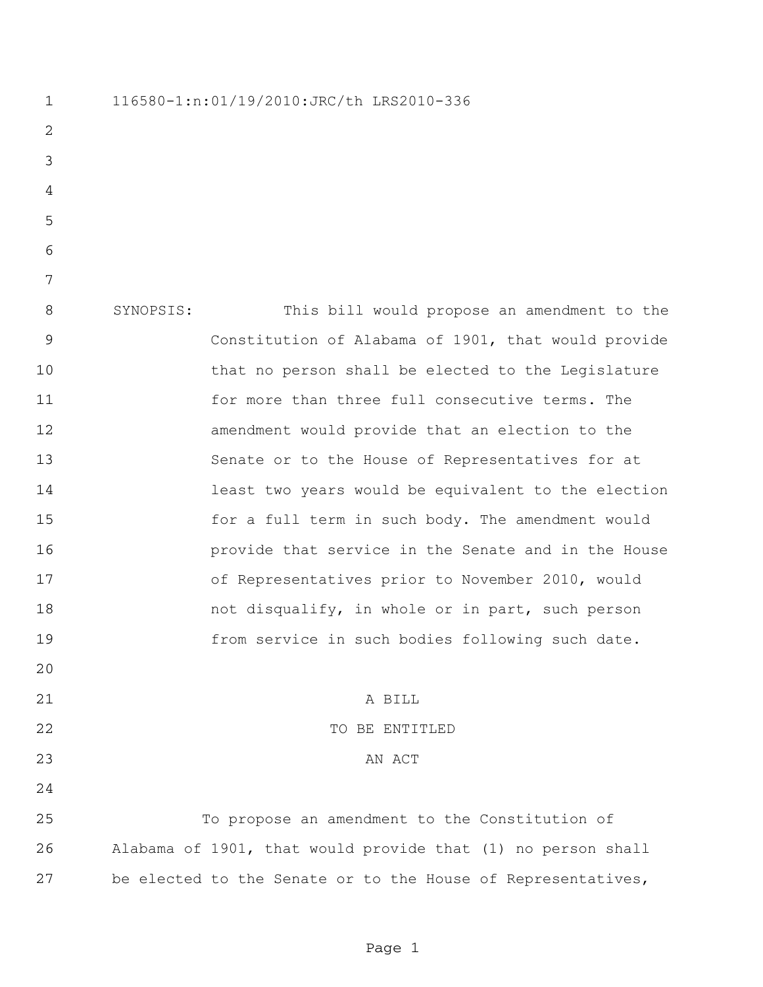116580-1:n:01/19/2010:JRC/th LRS2010-336 SYNOPSIS: This bill would propose an amendment to the Constitution of Alabama of 1901, that would provide that no person shall be elected to the Legislature for more than three full consecutive terms. The amendment would provide that an election to the Senate or to the House of Representatives for at least two years would be equivalent to the election for a full term in such body. The amendment would provide that service in the Senate and in the House 17 of Representatives prior to November 2010, would 18 hot disqualify, in whole or in part, such person from service in such bodies following such date. A BILL 22 TO BE ENTITLED 23 AN ACT To propose an amendment to the Constitution of Alabama of 1901, that would provide that (1) no person shall be elected to the Senate or to the House of Representatives,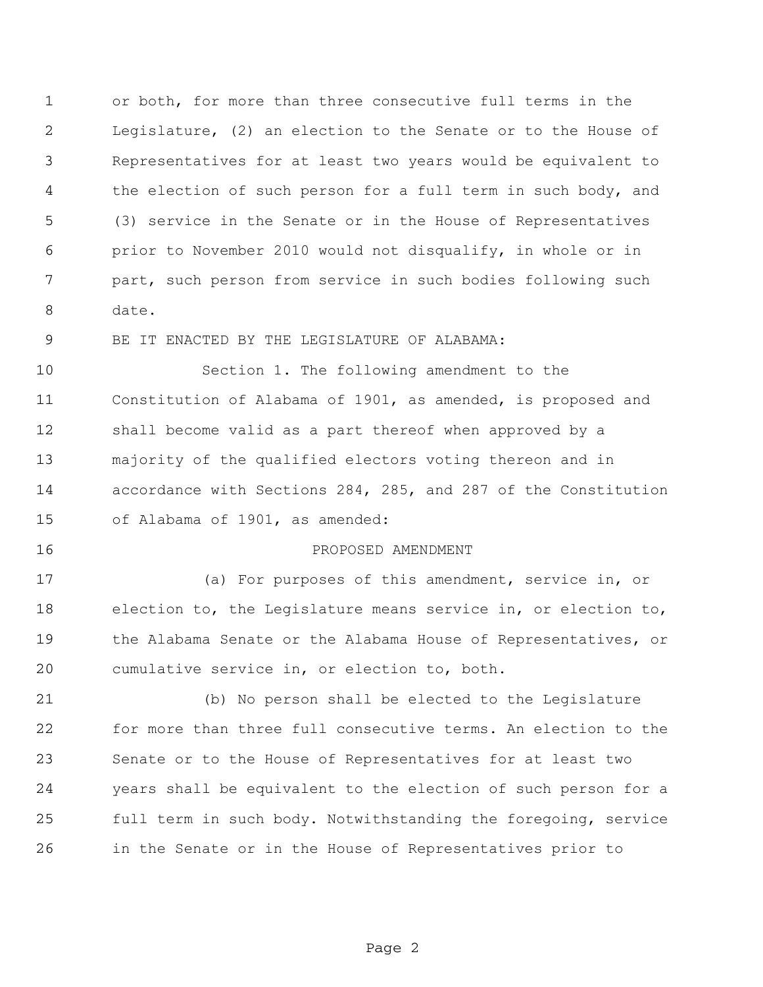or both, for more than three consecutive full terms in the Legislature, (2) an election to the Senate or to the House of Representatives for at least two years would be equivalent to the election of such person for a full term in such body, and (3) service in the Senate or in the House of Representatives prior to November 2010 would not disqualify, in whole or in part, such person from service in such bodies following such date.

BE IT ENACTED BY THE LEGISLATURE OF ALABAMA:

 Section 1. The following amendment to the Constitution of Alabama of 1901, as amended, is proposed and shall become valid as a part thereof when approved by a majority of the qualified electors voting thereon and in accordance with Sections 284, 285, and 287 of the Constitution of Alabama of 1901, as amended:

## PROPOSED AMENDMENT

 (a) For purposes of this amendment, service in, or election to, the Legislature means service in, or election to, the Alabama Senate or the Alabama House of Representatives, or cumulative service in, or election to, both.

 (b) No person shall be elected to the Legislature for more than three full consecutive terms. An election to the Senate or to the House of Representatives for at least two years shall be equivalent to the election of such person for a full term in such body. Notwithstanding the foregoing, service in the Senate or in the House of Representatives prior to